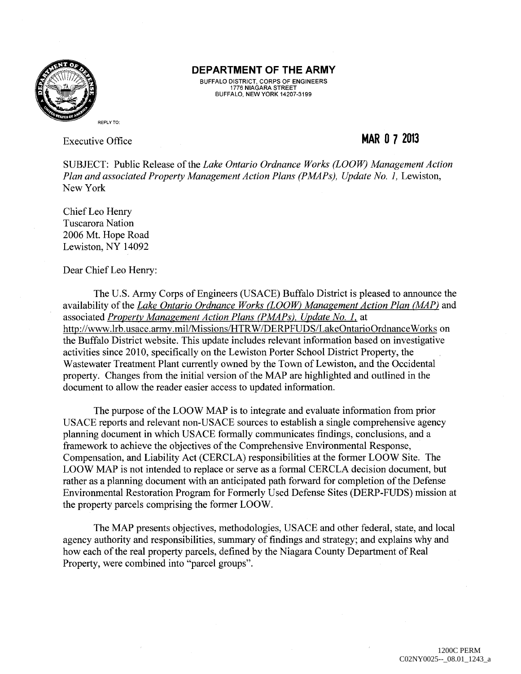

BUFFALO DISTRICT, CORPS OF ENGINEERS 1776 NIAGARA STREET BUFFALO, NEW YORK 14207-3199

Executive Office

## **MAR 0 7 2013**

SUBJECT: Public Release of the *Lake Ontario Ordnance Works (LOOW) Management Action Plan and associated Property Management Action Plans (PMAPs), Update No. 1, Lewiston,* New York

Chief Leo Henry Tuscarora Nation 2006 Mt. Hope Road Lewiston, NY 14092

Dear Chief Leo Henry:

The U.S. Army Corps of Engineers (USACE) Buffalo District is pleased to announce the availability of the *Lake Ontario Ordnance Works (LOOW) Management Action Plan (MAP)* and associated *Property Management Action Plans (PMAPs), Update No. I,* at http://www.lrb.usace.army.mil/Missions/HTRW/DERPFUDS/LakeOntarioOrdnanceWorks on the Buffalo District website. This update includes relevant information based on investigative activities since 2010, specifically on the Lewiston Porter School District Property, the Wastewater Treatment Plant currently owned by the Town of Lewiston, and the Occidental property. Changes from the initial version of the MAP are highlighted and outlined in the document to allow the reader easier access to updated information.

The purpose of the LOOW MAP is to integrate and evaluate information from prior USACE reports and relevant non-USACE sources to establish a single comprehensive agency planning document in which USACE formally communicates findings, conclusions, and a framework to achieve the objectives of the Comprehensive Environmental Response, Compensation, and Liability Act (CERCLA) responsibilities at the former LOOW Site. The LOOW MAP is not intended to replace or serve as a formal CERCLA decision document, but rather as a planning document with an anticipated path forward for completion of the Defense Environmental Restoration Program for Formerly Used Defense Sites (DERP-FUDS) mission at the property parcels comprising the former LOOW.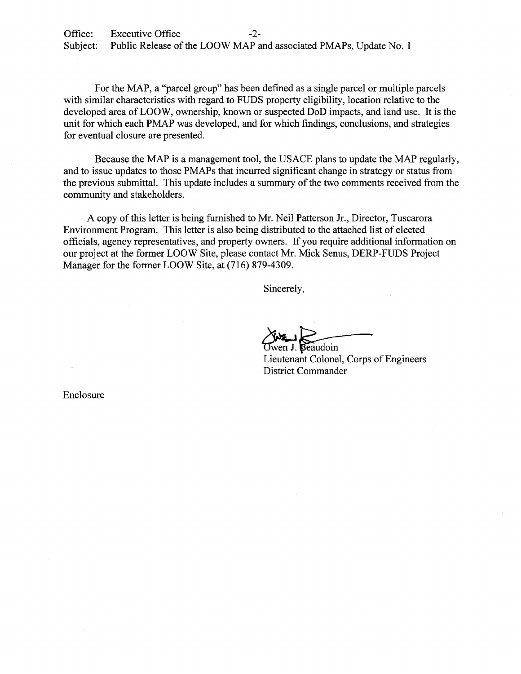For the MAP, a "parcel group" has been defined as a single parcel or multiple parcels with similar characteristics with regard to FUDS property eligibility, location relative to the developed area of LOOW, ownership, known or suspected DoD impacts, and land use. It is the unit for which each PMAP was developed, and for which findings, conclusions, and strategies for eventual closure are presented.

Because the MAP is a management tool, the USACE plans to update the MAP regularly, and to issue updates to those PMAPs that incurred significant change in strategy or status from the previous submittal. This update includes a summary of the two comments received from the community and stakeholders.

A copy of this letter is being furnished to Mr. Neil Patterson Jr., Director, Tuscarora Environment Program. This letter is also being distributed to the attached list of elected officials, agency representatives, and property owners. If you require additional information on our project at the former LOOW Site, please contact Mr. Mick Senus, DERP-FUDS Project Manager for the former LOOW Site, at (716) 879-4309.

Sincerely,

Twen J. **Beaudoin**<br>Lieutenant Colonel, Corps of Engineers District Commander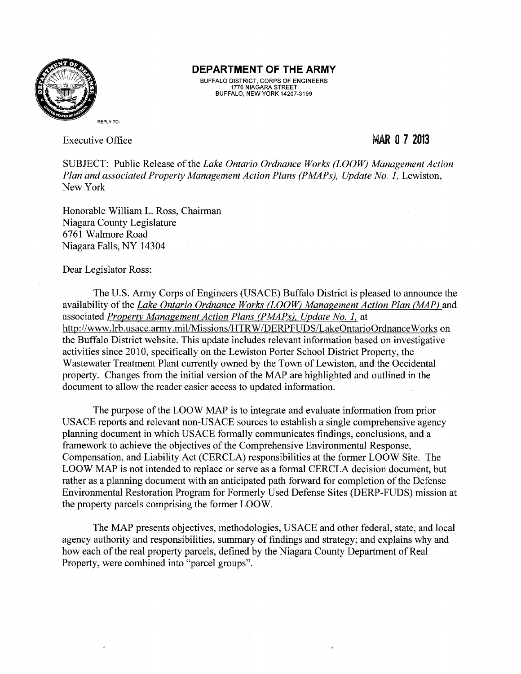

BUFFALO DISTRICT, CORPS OF ENGINEERS 1776 NIAGARA STREET BUFFALO, NEW YORK 14207-3199

Executive Office

### MAR 0 7 **<sup>2013</sup>**

SUBJECT: Public Release of the *Lake Ontario Ordnance Works (LOOW) Management Action Plan and associated Property Management Action Plans (PMAPs), Update No. 1, Lewiston,* New York

Honorable William L. Ross, Chairman Niagara County Legislature 6761 Walmore Road Niagara Falls, NY 14304

Dear Legislator Ross:

The U.S. Army Corps of Engineers (USACE) Buffalo District is pleased to announce the availability of the *Lake Ontario Ordnance Works (LOOW) Management Action Plan (MAP)* and associated *Property Management Action Plans (PMAPs), Update No. 1.* at http://www.lrb.usace.army.mil/Missions/HTRW/DERPFUDS/LakeOntarioOrdnanceWorks on the Buffalo District website. This update includes relevant information based on investigative activities since 2010, specifically on the Lewiston Porter School District Property, the Wastewater Treatment Plant currently owned by the Town of Lewiston, and the Occidental property. Changes from the initial version of the MAP are highlighted and outlined in the document to allow the reader easier access to updated information.

The purpose of the LOOW MAP is to integrate and evaluate information from prior USACE reports and relevant non-USACE sources to establish a single comprehensive agency planning document in which USACE formally communicates findings, conclusions, and a framework to achieve the objectives of the Comprehensive Environmental Response, Compensation, and Liability Act (CERCLA) responsibilities at the former LOOW Site. The LOOW MAP is not intended to replace or serve as a formal CERCLA decision document, but rather as a planning document with an anticipated path forward for completion of the Defense Environmental Restoration Program for Formerly Used Defense Sites (DERP-FUDS) mission at the property parcels comprising the former LOOW.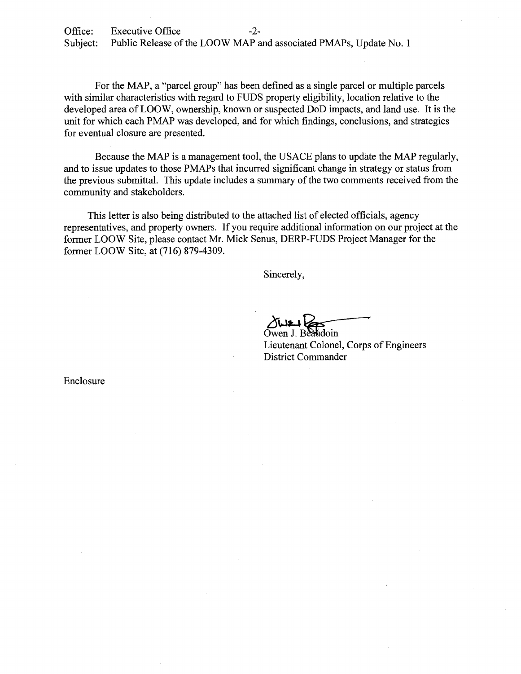Office: Executive Office -2-<br>Subiect: Public Release of the LOOW MAP a Public Release of the LOOW MAP and associated PMAPs, Update No. 1

For the MAP, a "parcel group" has been defined as a single parcel or multiple parcels with similar characteristics with regard to FUDS property eligibility, location relative to the developed area of LOOW, ownership, known or suspected DoD impacts, and land use. It is the unit for which each PMAP was developed, and for which findings, conclusions, and strategies for eventual closure are presented.

Because the MAP is a management tool, the USACE plans to update the MAP regularly, and to issue updates to those PMAPs that incurred significant change in strategy or status from the previous submittal. This update includes a summary of the two comments received from the community and stakeholders.

This letter is also being distributed to the attached list of elected officials, agency representatives, and property owners. If you require additional information on our project at the former LOOW Site, please contact Mr. Mick Senus, DERP-FUDS Project Manager for the former LOOW Site, at (716) 879-4309.

Sincerely,

Owen J. Beaudoin

Lieutenant Colonel, Corps of Engineers District Commander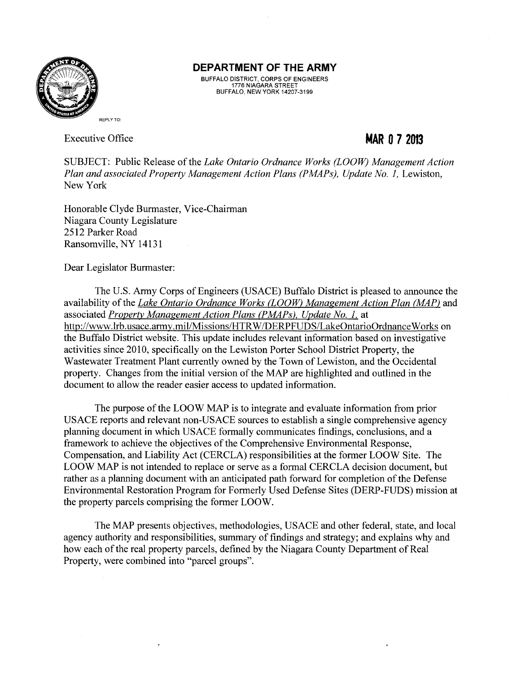

BUFFALO DISTRICT, CORPS OF ENGINEERS 1776 NIAGARA STREET BUFFALO, NEW YORK 14207-3199

Executive Office

# **MAR 0 7 2013**

SUBJECT: Public Release of the *Lake Ontario Ordnance Works (LOOTV) Management Action Plan and associated Property Management Action Plans (PMAPs), Update No. 1, Lewiston,* New York

Honorable Clyde Burmaster, Vice-Chairman Niagara County Legislature 2512 Parker Road Ransomville, NY 14131

Dear Legislator Burmaster:

The U.S. Army Corps of Engineers (USACE) Buffalo District is pleased to announce the availability of the *Lake Ontario Ordnance Works (LOOW) Management Action Plan (MAP)* and associated *Property Management Action Plans (PMAPs). Update No. 1.* at http://www.lrb.usace.army.mil/Missions/HTRW/DERPFUDS/LakeOntarioOrdnanceWorks on the Buffalo District website. This update includes relevant information based on investigative activities since 2010, specifically on the Lewiston Porter School District Property, the Wastewater Treatment Plant currently owned by the Town of Lewiston, and the Occidental property. Changes from the initial version of the MAP are highlighted and outlined in the document to allow the reader easier access to updated information.

The purpose of the LOOW MAP is to integrate and evaluate information from prior USACE reports and relevant non-USACE sources to establish a single comprehensive agency planning document in which USACE formally communicates findings, conclusions, and a framework to achieve the objectives of the Comprehensive Environmental Response, Compensation, and Liability Act (CERCLA) responsibilities at the former LOOW Site. The LOOW MAP is not intended to replace or serve as a formal CERCLA decision document, but rather as a planning document with an anticipated path forward for completion of the Defense Environmental Restoration Program for Formerly Used Defense Sites (DERP-FUDS) mission at the property parcels comprising the former LOOW.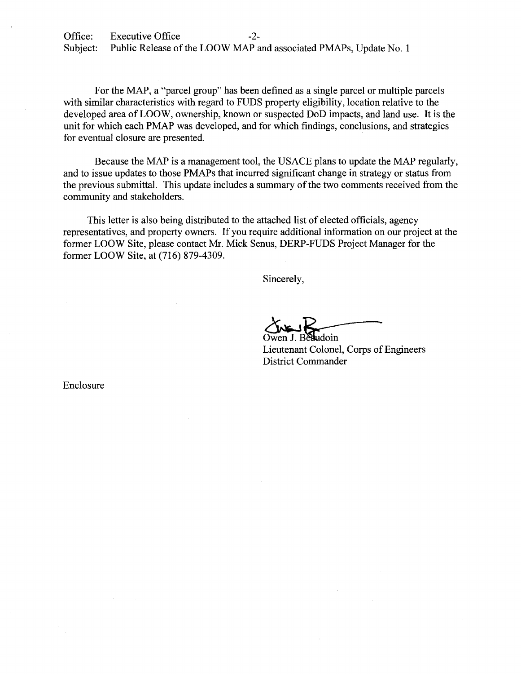Office: Executive Office -2-<br>Subject: Public Release of the LOOW MAP a Public Release of the LOOW MAP and associated PMAPs, Update No. 1

For the MAP, a "parcel group" has been defined as a single parcel or multiple parcels with similar characteristics with regard to FUDS property eligibility, location relative to the developed area of LOOW, ownership, known or suspected DoD impacts, and land use. It is the unit for which each PMAP was developed, and for which findings, conclusions, and strategies for eventual closure are presented.

Because the MAP is a management tool, the USACE plans to update the MAP regularly, and to issue updates to those PMAPs that incurred significant change in strategy or status from the previous submittal. This update includes a summary of the two comments received from the community and stakeholders.

This letter is also being distributed to the attached list of elected officials, agency representatives, and property owners. If you require additional information on our project at the former LOOW Site, please contact Mr. Mick Senus, DERP-FUDS Project Manager for the former LOOW Site, at (716) 879-4309.

Sincerely,

Owen J. Besludoin<br>Lieutenant Colonel, Corps of Engineers

District Commander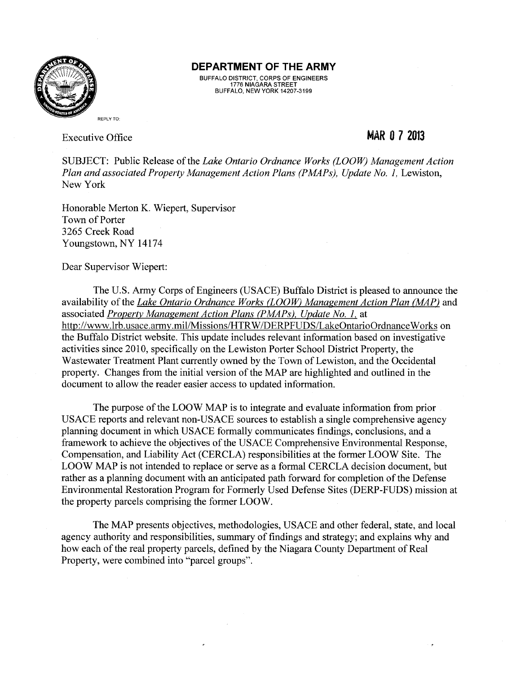

BUFFALO DISTRICT, CORPS OF ENGINEERS 1776 NIAGARA STREET BUFFALO, NEW YORK 14207-3199

Executive Office

### **MAR 0 7 2013**

SUBJECT: Public Release of the *Lake Ontario Ordnance Works (LOOW) Management Action Plan and associated Property Management Action Plans (PMAPs), Update No. 1, Lewiston,* New York

Honorable Merton K. Wiepert, Supervisor Town of Porter 3265 Creek Road Youngstown, NY 14174

Dear Supervisor Wiepert:

The U.S. Army Corps of Engineers (USACE) Buffalo District is pleased to announce the availability of the *Lake Ontario Ordnance Works (LOOW) Management Action Plan (MAP)* and associated *Property Management Action Plans (PMAPs), Update No. l,* at http://www.lrb.usace.army.mil/Missions/HTR W /DERPFUDS/LakeOntarioOrdnance Works on the Buffalo District website. This update includes relevant information based on investigative activities since 2010, specifically on the Lewiston Porter School District Property, the Wastewater Treatment Plant currently owned by the Town of Lewiston, and the Occidental property. Changes from the initial version of the MAP are highlighted and outlined in the document to allow the reader easier access to updated information.

The purpose of the LOOW MAP is to integrate and evaluate information from prior USACE reports and relevant non-USACE sources to establish a single comprehensive agency planning document in which USACE formally communicates findings, conclusions, and a framework to achieve the objectives of the USACE Comprehensive Environmental Response, Compensation, and Liability Act (CERCLA) responsibilities at the former LOOW Site. The LOOW MAP is not intended to replace or serve as a formal CERCLA decision document, but rather as a planning document with an anticipated path forward for completion of the Defense Environmental Restoration Program for Formerly Used Defense Sites (DERP-FUDS) mission at the property parcels comprising the former LOOW.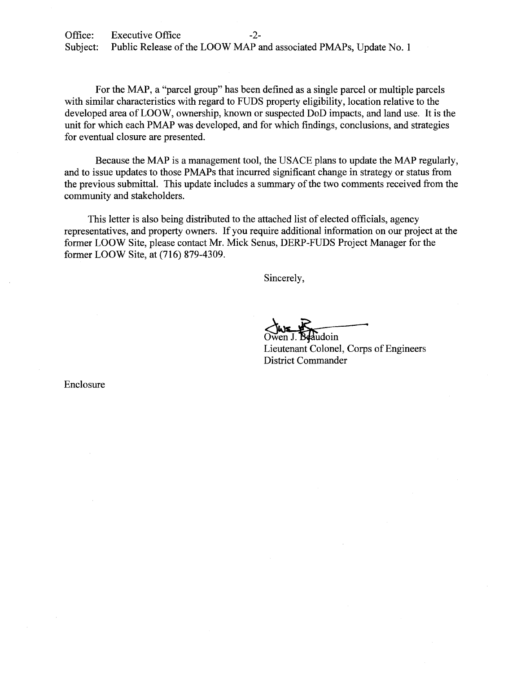For the MAP, a "parcel group" has been defined as a single parcel or multiple parcels with similar characteristics with regard to FUDS property eligibility, location relative to the developed area of LOOW, ownership, known or suspected DoD impacts, and land use. It is the unit for which each PMAP was developed, and for which findings, conclusions, and strategies for eventual closure are presented.

Because the MAP is a management tool, the USACE plans to update the MAP regularly, and to issue updates to those PMAPs that incurred significant change in strategy or status from the previous submittal. This update includes a summary of the two comments received from the community and stakeholders.

This letter is also being distributed to the attached list of elected officials, agency representatives, and property owners. If you require additional information on our project at the former LOOW Site, please contact Mr. Mick Senus, DERP-FUDS Project Manager for the former LOOW Site, at (716) 879-4309.

Sincerely,

Lieutenant Colonel, Corps of Engineers Sincerely,<br>Owen J. Beaudoin<br>Lieutenant Colonel, Corps of Engineers<br>District Commander District Commander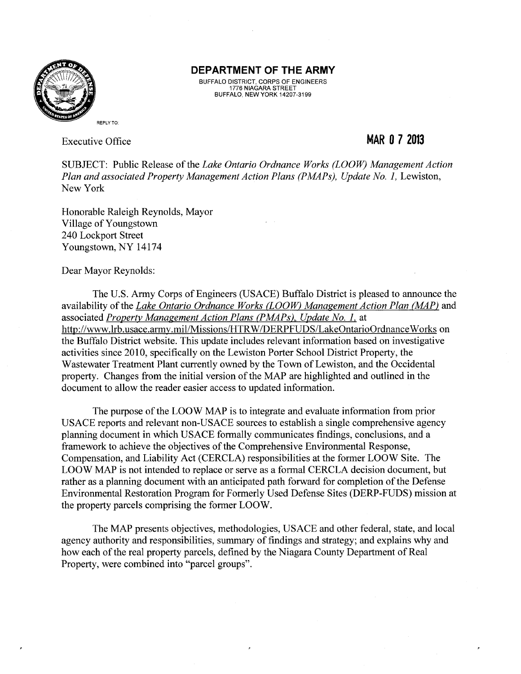

BUFFALO DISTRICT, CORPS OF ENGINEERS 1776 NIAGARA STREET BUFFALO, NEW YORK 14207-3199

Executive Office

## **MAR 0 7 2013**

SUBJECT: Public Release of the *Lake Ontario Ordnance Works (LOOW) Management Action Plan and associated Property Management Action Plans (PMAPs), Update No. 1, Lewiston,* New York

Honorable Raleigh Reynolds, Mayor Village of Youngstown 240 Lockport Street Youngstown, NY 14174

Dear Mayor Reynolds:

The U.S. Army Corps of Engineers (USACE) Buffalo District is pleased to announce the availability of the *Lake Ontario Ordnance Works (LOOW) Management Action Plan (MAP)* and associated *Property Management Action Plans (PMAPs),, Update No. l,* at http://www.lrb.usace.army.mil/Missions/HTRW /DERPFUDS/LakeOntarioOrdnance Works on the Buffalo District website. This update includes relevant information based on investigative activities since 2010, specifically on the Lewiston Porter School District Property, the Wastewater Treatment Plant currently owned by the Town of Lewiston, and the Occidental property. Changes from the initial version of the MAP are highlighted and outlined in the document to allow the reader easier access to updated information.

The purpose of the LOOW MAP is to integrate and evaluate information from prior USACE reports and relevant non-USACE sources to establish a single comprehensive agency planning document in which USACE formally communicates findings, conclusions, and a framework to achieve the objectives of the Comprehensive Environmental Response, Compensation, and Liability Act (CERCLA) responsibilities at the former LOOW Site. The LOOW MAP is not intended to replace or serve as a formal CERCLA decision document, but rather as a planning document with an anticipated path forward for completion of the Defense Environmental Restoration Program for Formerly Used Defense Sites (DERP-FUDS) mission at the property parcels comprising the former LOOW.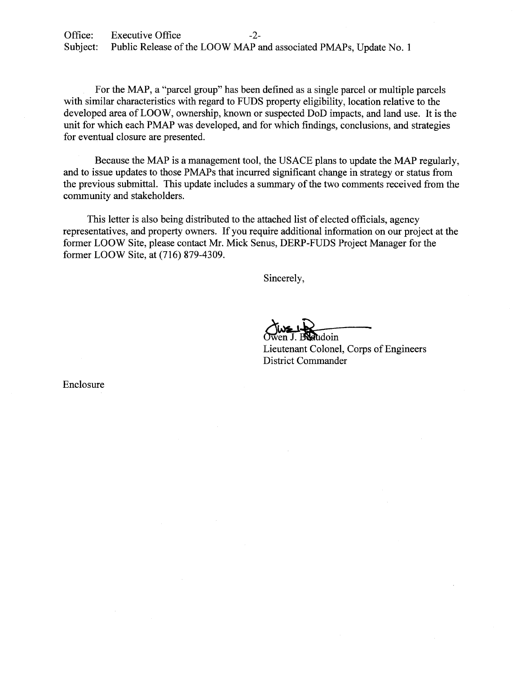For the MAP, a "parcel group" has been defined as a single parcel or multiple parcels with similar characteristics with regard to FUDS property eligibility, location relative to the developed area of LOOW, ownership, known or suspected DoD impacts, and land use. It is the unit for which each PMAP was developed, and for which findings, conclusions, and strategies for eventual closure are presented.

Because the MAP is a management tool, the USACE plans to update the MAP regularly, and to issue updates to those PMAPs that incurred significant change in strategy or status from the previous submittal. This update includes a summary of the two comments received from the community and stakeholders.

This letter is also being distributed to the attached list of elected officials, agency representatives, and property owners. If you require additional information on our project at the former LOOW Site, please contact Mr. Mick Senus, DERP-FUDS Project Manager for the former LOOW Site, at (716) 879-4309.

Sincerely,

 $\alpha$ udoin

Lieutenant Colonel, Corps of Engineers District Commander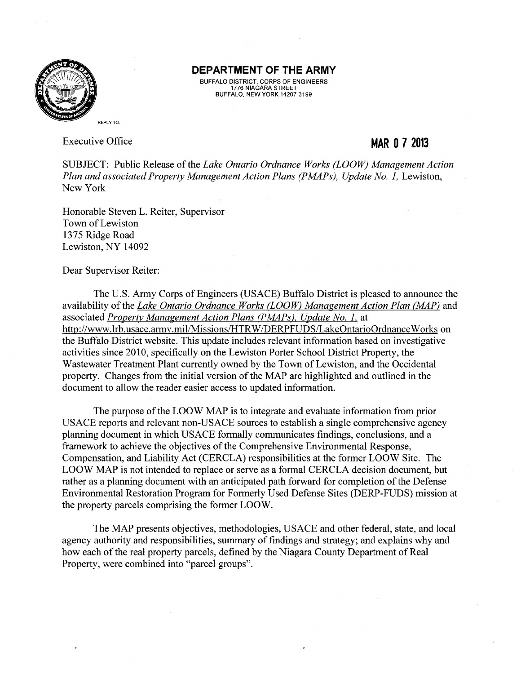

BUFFALO DISTRICT, CORPS OF ENGINEERS 1776 NIAGARA STREET BUFFALO, NEW YORK 14207-3199

Executive Office

## **MAR 0 7 2013**

SUBJECT: Public Release of the *Lake Ontario Ordnance Works (LOOW) Management Action Plan and associated Property Management Action Plans (PMAPs), Update No. 1, Lewiston,* New York

Honorable Steven L. Reiter, Supervisor Town of Lewiston 1375 Ridge Road Lewiston, NY 14092

Dear Supervisor Reiter:

The U.S. Army Corps of Engineers (USACE) Buffalo District is pleased to announce the availability of the *Lake Ontario Ordnance Works CLOOW) Management Action Plan (MAP)* and associated *Property Management Action Plans (PMAPs), Update No. l,* at http://www.lrb.usace.army.mil/Missions/HTRW/DERPFUDS/LakeOntarioOrdnanceWorks on the Buffalo District website. This update includes relevant information based on investigative activities since 2010, specifically on the Lewiston Porter School District Property, the Wastewater Treatment Plant currently owned by the Town of Lewiston, and the Occidental property. Changes from the initial version of the MAP are highlighted and outlined in the document to allow the reader easier access to updated information.

The purpose of the LOOW MAP is to integrate and evaluate information from prior USACE reports and relevant non-USACE sources to establish a single comprehensive agency planning document in which USACE formally communicates findings, conclusions, and a framework to achieve the objectives of the Comprehensive Environmental Response, Compensation, and Liability Act (CERCLA) responsibilities at the former LOOW Site. The LOOW MAP is not intended to replace or serve as a formal CERCLA decision document, but rather as a planning document with an anticipated path forward for completion of the Defense Environmental Restoration Program for Formerly Used Defense Sites (DERP-FUDS) mission at the property parcels comprising the former LOOW.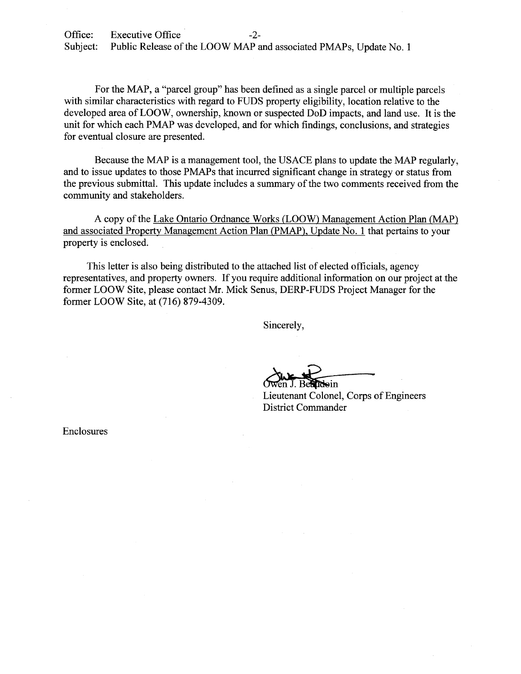For the MAP, a "parcel group" has been defined as a single parcel or multiple parcels with similar characteristics with regard to FUDS property eligibility, location relative to the developed area of LOOW, ownership, known or suspected DoD impacts, and land use. It is the unit for which each PMAP was developed, and for which findings, conclusions, and strategies for eventual closure are presented.

Because the MAP is a management tool, the USACE plans to update the MAP regularly, and to issue updates to those PMAPs that incurred significant change in strategy or status from the previous submittal. This update includes a summary of the two comments received from the community and stakeholders.

A copy of the Lake Ontario Ordnance Works (LOOW) Management Action Plan (MAP) and associated Property Management Action Plan (PMAP), Update No. 1 that pertains to your property is enclosed.

This letter is also being distributed to the attached list of elected officials, agency representatives, and property owners. If you require additional information on our project at the former LOOW Site, please contact Mr. Mick Senus, DERP-FUDS Project Manager for the former LOOW Site, at (716) 879-4309.

Sincerely,

doin

Lieutenant Colonel, Corps of Engineers **District Commander**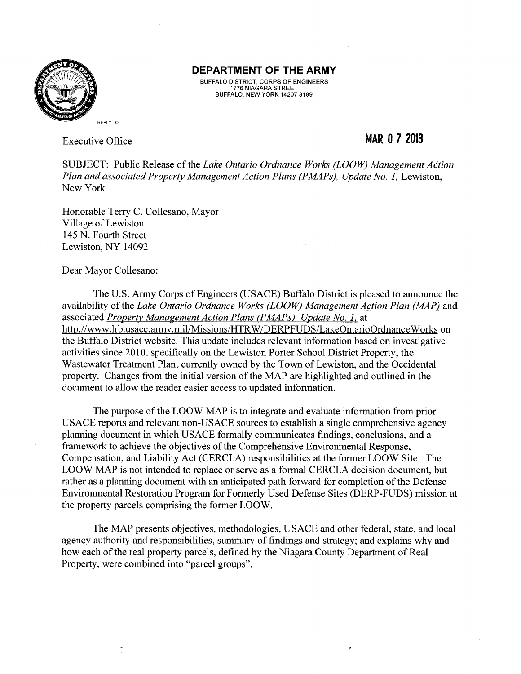

BUFFALO DISTRICT, CORPS OF ENGINEERS 1776 NIAGARA STREET BUFFALO, NEW YORK 14207-3199

Executive Office

### MAR **0 7 2013**

SUBJECT: Public Release of the *Lake Ontario Ordnance Works (LOOW) Management Action Plan and associated Property Management Action Plans (PMAPs), Update No. 1, Lewiston,* New York

Honorable Terry C. Collesano, Mayor Village of Lewiston 145 N. Fourth Street Lewiston, NY 14092

Dear Mayor Collesano:

The U.S. Army Corps of Engineers (USACE) Buffalo District is pleased to announce the availability of the *Lake Ontario Ordnance Works (LOOW) Management Action Plan (MAP)* and associated *Property Management Action Plans (PMAPs), Update No. 1.* at http://www.lrb.usace.army.mil/Missions/HTRW/DERPFUDS/LakeOntarioOrdnanceWorks on the Buffalo District website. This update includes relevant information based on investigative activities since 2010, specifically on the Lewiston Porter School District Property, the Wastewater Treatment Plant currently owned by the Town of Lewiston, and the Occidental property. Changes from the initial version of the MAP are highlighted and outlined in the document to allow the reader easier access to updated information.

The purpose of the LOOW MAP is to integrate and evaluate information from prior USACE reports and relevant non-USACE sources to establish a single comprehensive agency planning document in which USACE formally communicates findings, conclusions, and a framework to achieve the objectives of the Comprehensive Environmental Response, Compensation, and Liability Act (CERCLA) responsibilities at the former LOOW Site. The LOOW MAP is not intended to replace or serve as a formal CERCLA decision document, but rather as a planning document with an anticipated path forward for completion of the Defense Environmental Restoration Program for Formerly Used Defense Sites (DERP-FUDS) mission at the property parcels comprising the former LOOW.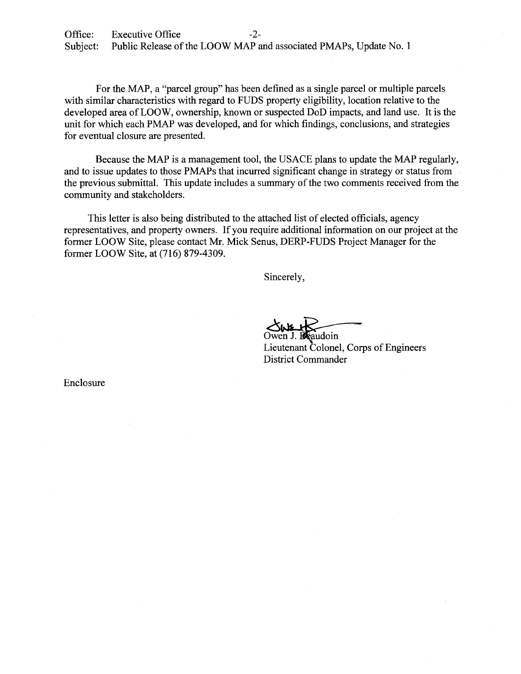For the MAP, a "parcel group" has been defined as a single parcel or multiple parcels with similar characteristics with regard to FUDS property eligibility, location relative to the developed area of LOOW, ownership, known or suspected DoD impacts, and land use. It is the unit for which each PMAP was developed, and for which findings, conclusions, and strategies for eventual closure are presented.

Because the MAP is a management tool, the USACE plans to update the MAP regularly, and to issue updates to those PMAPs that incurred significant change in strategy or status from the previous submittal. This update includes a summary of the two comments received from the community and stakeholders.

This letter is also being distributed to the attached list of elected officials, agency representatives, and property owners. If you require additional information on our project at the former LOOW Site, please contact Mr. Mick Senus, DERP-FUDS Project Manager for the former LOOW Site, at (716) 879-4309.

Sincerely,

audoin

Lieutenant Colonel, Corps of Engineers District Commander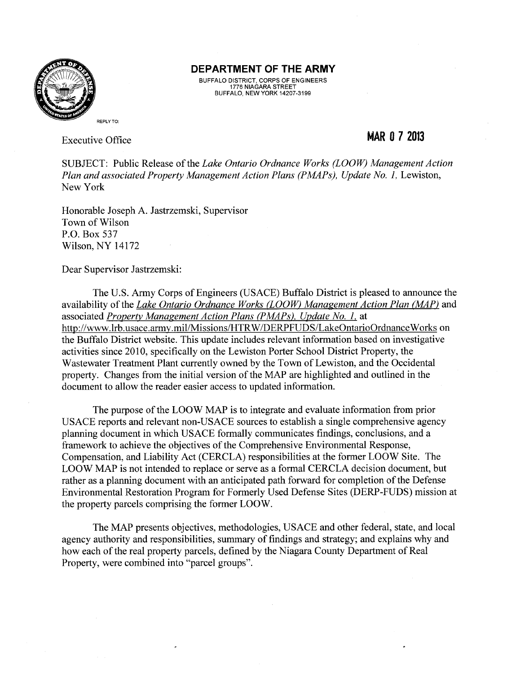

BUFFALO DISTRICT, CORPS OF ENGINEERS 1776 NIAGARA STREET BUFFALO, NEW YORK 14207-3199

Executive Office

## **MAR 0 7 2013**

SUBJECT: Public Release of the *Lake Ontario Ordnance Works (LOOW) Management Action Plan and associated Property Management Action Plans (PMAPs), Update No. 1, Lewiston,* New York

Honorable Joseph A. Jastrzemski, Supervisor Town of Wilson P.O. Box 537 Wilson, NY 14172

Dear Supervisor Jastrzemski:

The U.S. Army Corps of Engineers (USACE) Buffalo District is pleased to announce the availability of the *Lake Ontario Ordnance Works (LOOW) Management Action Plan (MAP)* and associated *Property Management Action Plans (PMAPs). Update No. l,* at http://www.lrb.usace.army.mil/Missions/HTR W/DERPFUDS/LakeOntarioOrdnance Works on the Buffalo District website. This update includes relevant information based on investigative activities since 2010, specifically on the Lewiston Porter School District Property, the Wastewater Treatment Plant currently owned by the Town of Lewiston, and the Occidental property. Changes from the initial version of the MAP are highlighted and outlined in the document to allow the reader easier access to updated information.

The purpose of the LOOW MAP is to integrate and evaluate information from prior USACE reports and relevant non-USACE sources to establish a single comprehensive agency planning document in which USACE formally communicates findings, conclusions, and a framework to achieve the objectives of the Comprehensive Environmental Response, Compensation, and Liability Act (CERCLA) responsibilities at the former LOOW Site. The LOOW MAP is not intended to replace or serve as a formal CERCLA decision document, but rather as a planning document with an anticipated path forward for completion of the Defense Environmental Restoration Program for Formerly Used Defense Sites (DERP-FUDS) mission at the property parcels comprising the former LOOW.